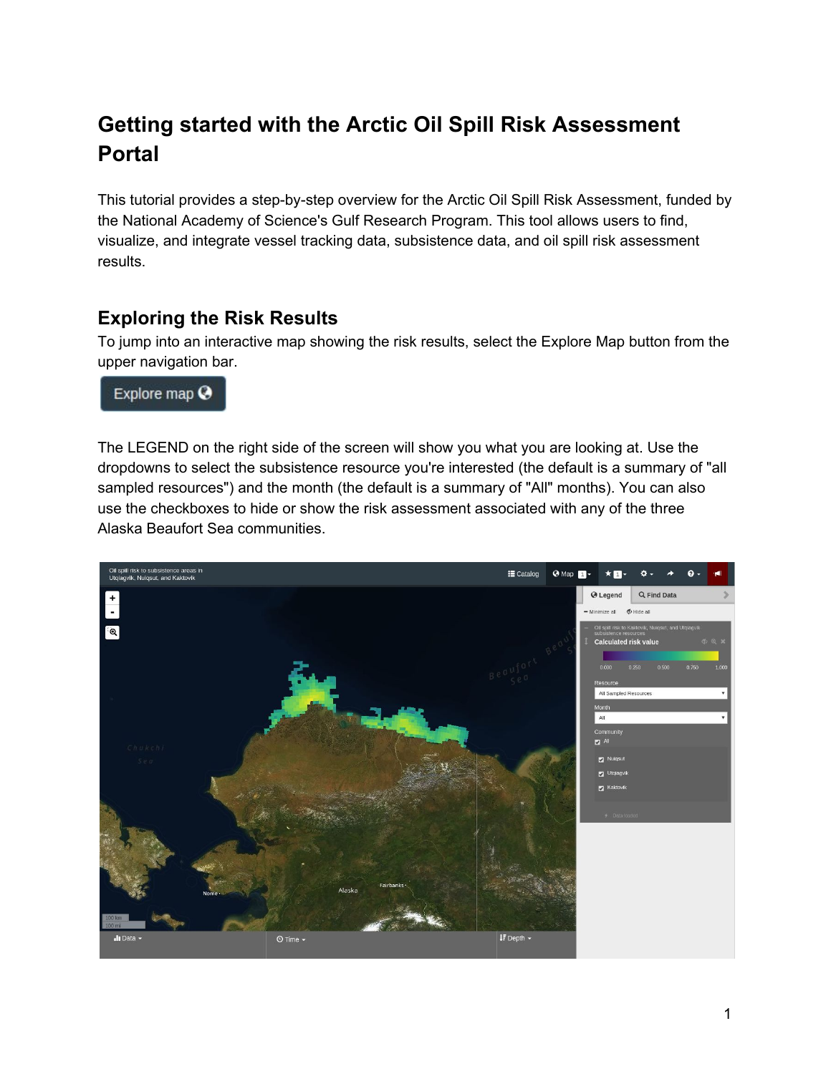# **Getting started with the Arctic Oil Spill Risk Assessment Portal**

This tutorial provides a step-by-step overview for the Arctic Oil Spill Risk Assessment, funded by the National Academy of Science's Gulf Research Program. This tool allows users to find, visualize, and integrate vessel tracking data, subsistence data, and oil spill risk assessment results.

#### **Exploring the Risk Results**

To jump into an interactive map showing the risk results, select the Explore Map button from the upper navigation bar.

Explore map  $\odot$ 

The LEGEND on the right side of the screen will show you what you are looking at. Use the dropdowns to select the subsistence resource you're interested (the default is a summary of "all sampled resources") and the month (the default is a summary of "All" months). You can also use the checkboxes to hide or show the risk assessment associated with any of the three Alaska Beaufort Sea communities.

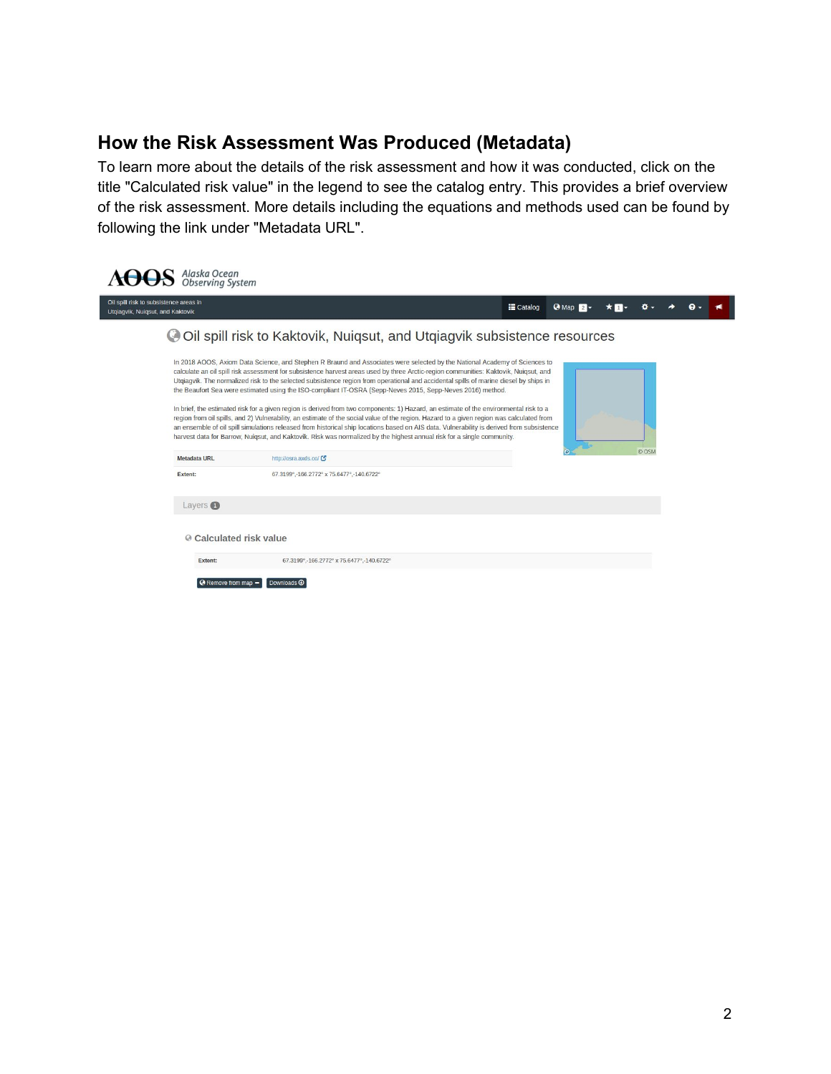#### **How the Risk Assessment Was Produced (Metadata)**

To learn more about the details of the risk assessment and how it was conducted, click on the title "Calculated risk value" in the legend to see the catalog entry. This provides a brief overview of the risk assessment. More details including the equations and methods used can be found by following the link under "Metadata URL".

| Oil spill risk to subsistence areas in<br><b>E</b> Catalog<br>Q<br>$Q$ Map $2$<br>Utgiagvik, Nuigsut, and Kaktovik<br>ightharpoonup Oil spill risk to Kaktovik, Nuigsut, and Utgiagvik subsistence resources<br>In 2018 AOOS, Axiom Data Science, and Stephen R Braund and Associates were selected by the National Academy of Sciences to<br>calculate an oil spill risk assessment for subsistence harvest areas used by three Arctic-region communities: Kaktovik, Nuigsut, and<br>Utgiagvik. The normalized risk to the selected subsistence region from operational and accidental spills of marine diesel by ships in<br>the Beaufort Sea were estimated using the ISO-compliant IT-OSRA (Sepp-Neves 2015, Sepp-Neves 2016) method.<br>In brief, the estimated risk for a given region is derived from two components: 1) Hazard, an estimate of the environmental risk to a<br>region from oil spills, and 2) Vulnerability, an estimate of the social value of the region. Hazard to a given region was calculated from<br>an ensemble of oil spill simulations released from historical ship locations based on AIS data. Vulnerability is derived from subsistence<br>harvest data for Barrow, Nuigsut, and Kaktovik. Risk was normalized by the highest annual risk for a single community.<br>© OSM<br>http://osra.axds.co/<br><b>Metadata URL</b><br>Extent:<br>67.3199°,-166.2772° x 75.6477°,-140.6722°<br>Layers <b>O</b> | Alaska Ocean<br>Observing System |  |  |  |  |  |  |  |  |  |  |  |  |  |  |
|-------------------------------------------------------------------------------------------------------------------------------------------------------------------------------------------------------------------------------------------------------------------------------------------------------------------------------------------------------------------------------------------------------------------------------------------------------------------------------------------------------------------------------------------------------------------------------------------------------------------------------------------------------------------------------------------------------------------------------------------------------------------------------------------------------------------------------------------------------------------------------------------------------------------------------------------------------------------------------------------------------------------------------------------------------------------------------------------------------------------------------------------------------------------------------------------------------------------------------------------------------------------------------------------------------------------------------------------------------------------------------------------------------------------------------------------|----------------------------------|--|--|--|--|--|--|--|--|--|--|--|--|--|--|
|                                                                                                                                                                                                                                                                                                                                                                                                                                                                                                                                                                                                                                                                                                                                                                                                                                                                                                                                                                                                                                                                                                                                                                                                                                                                                                                                                                                                                                           |                                  |  |  |  |  |  |  |  |  |  |  |  |  |  |  |
|                                                                                                                                                                                                                                                                                                                                                                                                                                                                                                                                                                                                                                                                                                                                                                                                                                                                                                                                                                                                                                                                                                                                                                                                                                                                                                                                                                                                                                           |                                  |  |  |  |  |  |  |  |  |  |  |  |  |  |  |
| <b>◎ Calculated risk value</b><br>67.3199°,-166.2772° x 75.6477°,-140.6722°<br>Extent:<br><b>O</b> Remove from map -<br>Downloads <sup>4</sup>                                                                                                                                                                                                                                                                                                                                                                                                                                                                                                                                                                                                                                                                                                                                                                                                                                                                                                                                                                                                                                                                                                                                                                                                                                                                                            |                                  |  |  |  |  |  |  |  |  |  |  |  |  |  |  |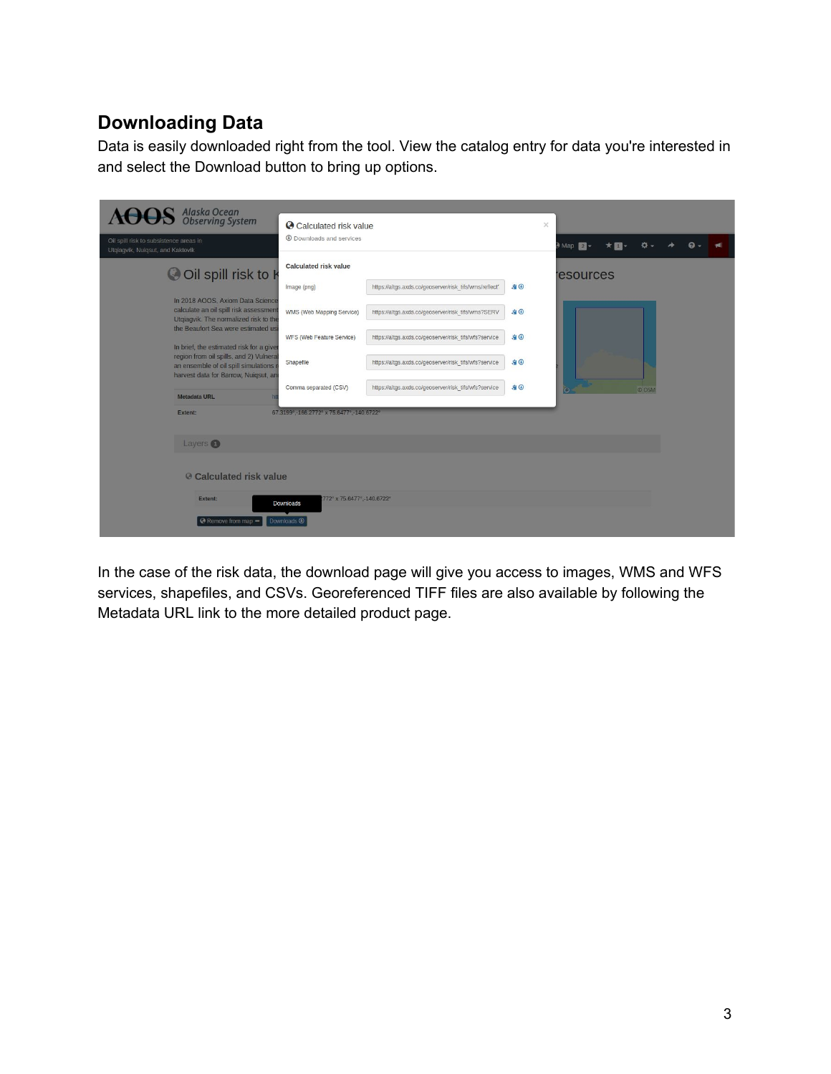# **Downloading Data**

Data is easily downloaded right from the tool. View the catalog entry for data you're interested in and select the Download button to bring up options.

|                                                                            | $\mathbf{S}$ Alaska Ocean<br>Observing System                                                                          | Calculated risk value                     |                                                        |           | $\times$ |                  |  |       |  |  |  |
|----------------------------------------------------------------------------|------------------------------------------------------------------------------------------------------------------------|-------------------------------------------|--------------------------------------------------------|-----------|----------|------------------|--|-------|--|--|--|
| Oil spill risk to subsistence areas in<br>Utqiagvik, Nuiqsut, and Kaktovik |                                                                                                                        | <b>4</b> Downloads and services           |                                                        |           |          | Map 2 -          |  |       |  |  |  |
|                                                                            | O Oil spill risk to k                                                                                                  | Calculated risk value                     |                                                        |           |          | <b>resources</b> |  |       |  |  |  |
|                                                                            | In 2018 AOOS, Axiom Data Science                                                                                       | Image (png)                               | https://altgs.axds.co/geoserver/risk_tifs/wms/reflect' | $-9$      |          |                  |  |       |  |  |  |
|                                                                            | calculate an oil spill risk assessment<br>Utgiagvik. The normalized risk to the<br>the Beaufort Sea were estimated us  | WMS (Web Mapping Service)                 | https://altgs.axds.co/geoserver/risk_tifs/wms?SERV     | 90        |          |                  |  |       |  |  |  |
|                                                                            | In brief, the estimated risk for a given                                                                               | WFS (Web Feature Service)                 | https://altgs.axds.co/geoserver/risk_tifs/wfs?service  | 90        |          |                  |  |       |  |  |  |
|                                                                            | region from oil spills, and 2) Vulnera<br>an ensemble of oil spill simulations<br>harvest data for Barrow, Nuigsut, an | Shapefile                                 | https://altgs.axds.co/geoserver/risk_tifs/wfs?service  | 自田        |          |                  |  |       |  |  |  |
|                                                                            | <b>Metadata URL</b>                                                                                                    | Comma separated (CSV)                     | https://altgs.axds.co/geoserver/risk_tifs/wfs?service  | <b>白田</b> |          |                  |  | © OSM |  |  |  |
|                                                                            | Extent:                                                                                                                | 67.3199° -166.2772° x 75.6477° -140.6722° |                                                        |           |          |                  |  |       |  |  |  |
|                                                                            | Layers <sup>1</sup>                                                                                                    |                                           |                                                        |           |          |                  |  |       |  |  |  |
|                                                                            | @ Calculated risk value                                                                                                |                                           |                                                        |           |          |                  |  |       |  |  |  |
|                                                                            | 772° x 75.6477° -140.6722°<br>Extent:<br>Downloads                                                                     |                                           |                                                        |           |          |                  |  |       |  |  |  |
|                                                                            | @ Remove from map -                                                                                                    | Downloads <sup>®</sup>                    |                                                        |           |          |                  |  |       |  |  |  |

In the case of the risk data, the download page will give you access to images, WMS and WFS services, shapefiles, and CSVs. Georeferenced TIFF files are also available by following the Metadata URL link to the more detailed product page.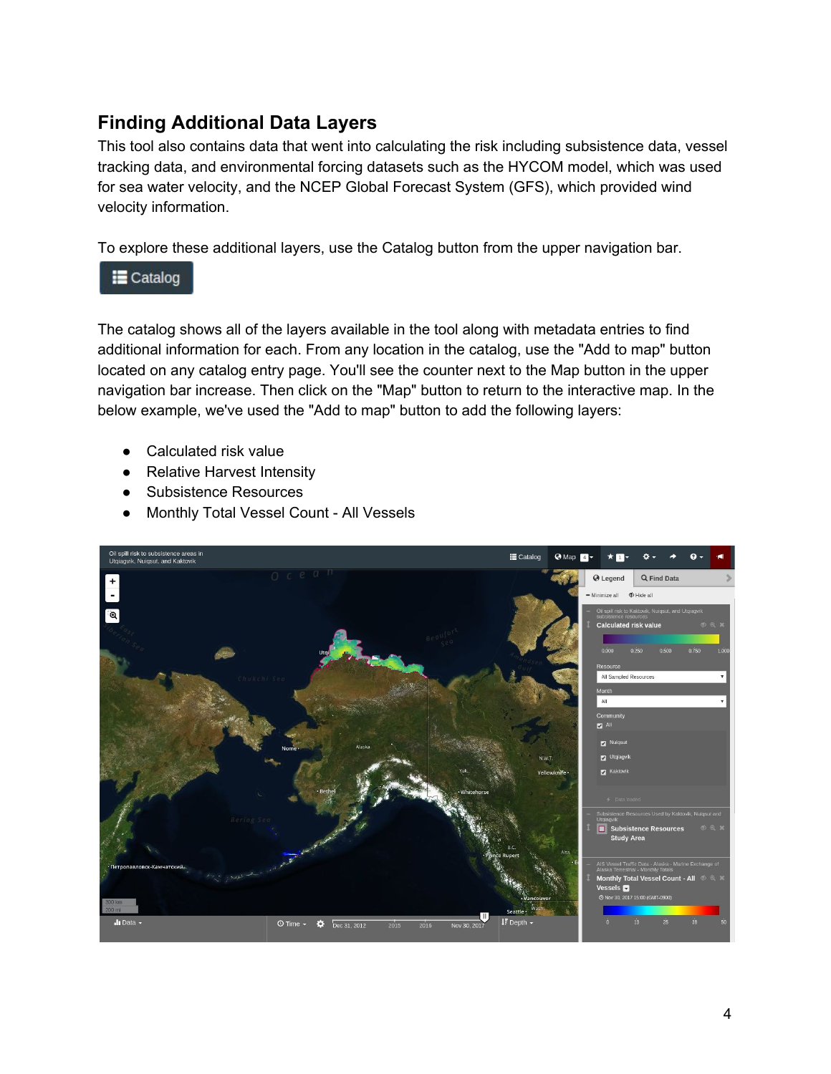#### **Finding Additional Data Layers**

This tool also contains data that went into calculating the risk including subsistence data, vessel tracking data, and environmental forcing datasets such as the HYCOM model, which was used for sea water velocity, and the NCEP Global Forecast System (GFS), which provided wind velocity information.

To explore these additional layers, use the Catalog button from the upper navigation bar.

#### $\equiv$  Catalog

The catalog shows all of the layers available in the tool along with metadata entries to find additional information for each. From any location in the catalog, use the "Add to map" button located on any catalog entry page. You'll see the counter next to the Map button in the upper navigation bar increase. Then click on the "Map" button to return to the interactive map. In the below example, we've used the "Add to map" button to add the following layers:

- Calculated risk value
- Relative Harvest Intensity
- Subsistence Resources
- Monthly Total Vessel Count All Vessels

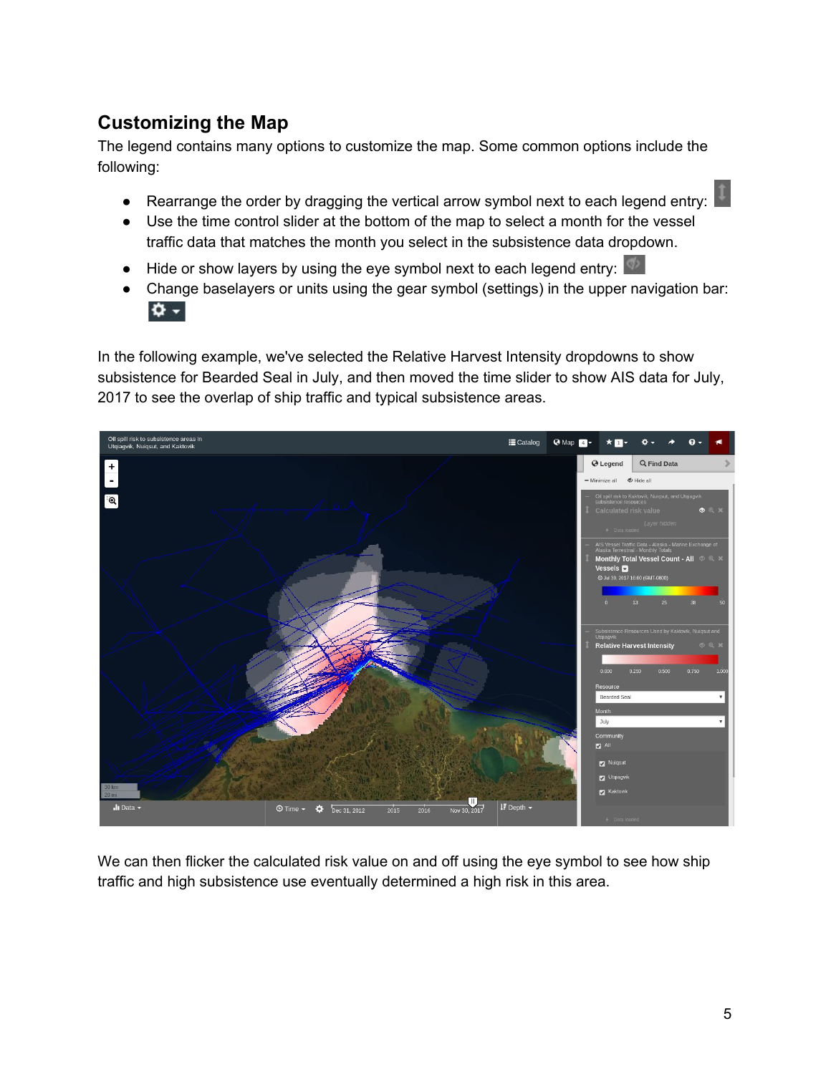### **Customizing the Map**

The legend contains many options to customize the map. Some common options include the following:

- Rearrange the order by dragging the vertical arrow symbol next to each legend entry:
- Use the time control slider at the bottom of the map to select a month for the vessel traffic data that matches the month you select in the subsistence data dropdown.
- Hide or show layers by using the eye symbol next to each legend entry:
- Change baselayers or units using the gear symbol (settings) in the upper navigation bar:  $\Phi$  -

In the following example, we've selected the Relative Harvest Intensity dropdowns to show subsistence for Bearded Seal in July, and then moved the time slider to show AIS data for July, 2017 to see the overlap of ship traffic and typical subsistence areas.



We can then flicker the calculated risk value on and off using the eye symbol to see how ship traffic and high subsistence use eventually determined a high risk in this area.